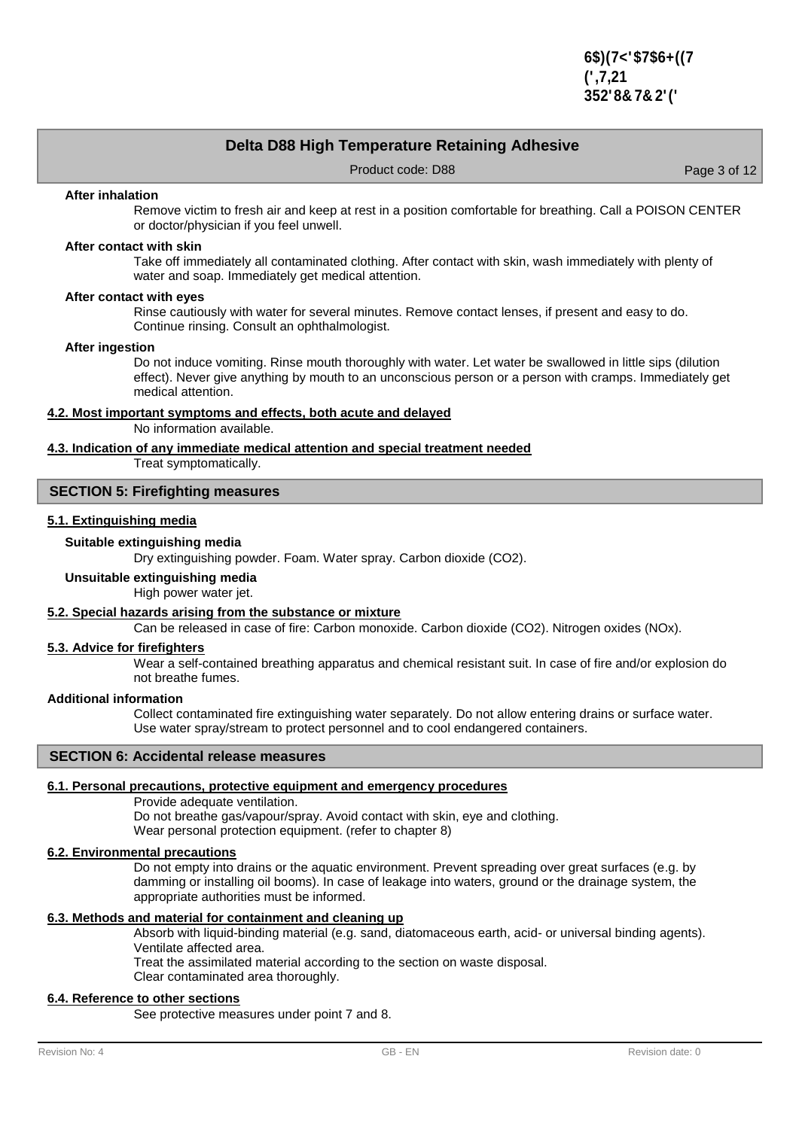## **Delta D88 High Temperature Retaining Adhesive**

Product code: D88 Product code: D88 Page 3 of 12

#### **After inhalation**

Remove victim to fresh air and keep at rest in a position comfortable for breathing. Call a POISON CENTER or doctor/physician if you feel unwell.

#### **After contact with skin**

Take off immediately all contaminated clothing. After contact with skin, wash immediately with plenty of water and soap. Immediately get medical attention.

#### **After contact with eyes**

Rinse cautiously with water for several minutes. Remove contact lenses, if present and easy to do. Continue rinsing. Consult an ophthalmologist.

#### **After ingestion**

Do not induce vomiting. Rinse mouth thoroughly with water. Let water be swallowed in little sips (dilution effect). Never give anything by mouth to an unconscious person or a person with cramps. Immediately get medical attention.

### **4.2. Most important symptoms and effects, both acute and delayed**

No information available.

### **4.3. Indication of any immediate medical attention and special treatment needed**

Treat symptomatically.

## **SECTION 5: Firefighting measures**

## **5.1. Extinguishing media**

#### **Suitable extinguishing media**

Dry extinguishing powder. Foam. Water spray. Carbon dioxide (CO2).

## **Unsuitable extinguishing media**

High power water jet.

### **5.2. Special hazards arising from the substance or mixture**

Can be released in case of fire: Carbon monoxide. Carbon dioxide (CO2). Nitrogen oxides (NOx).

### **5.3. Advice for firefighters**

Wear a self-contained breathing apparatus and chemical resistant suit. In case of fire and/or explosion do not breathe fumes.

#### **Additional information**

Collect contaminated fire extinguishing water separately. Do not allow entering drains or surface water. Use water spray/stream to protect personnel and to cool endangered containers.

### **SECTION 6: Accidental release measures**

### **6.1. Personal precautions, protective equipment and emergency procedures**

Provide adequate ventilation.

Do not breathe gas/vapour/spray. Avoid contact with skin, eye and clothing. Wear personal protection equipment. (refer to chapter 8)

### **6.2. Environmental precautions**

Do not empty into drains or the aquatic environment. Prevent spreading over great surfaces (e.g. by damming or installing oil booms). In case of leakage into waters, ground or the drainage system, the appropriate authorities must be informed.

## **6.3. Methods and material for containment and cleaning up**

Absorb with liquid-binding material (e.g. sand, diatomaceous earth, acid- or universal binding agents). Ventilate affected area.

Treat the assimilated material according to the section on waste disposal.

Clear contaminated area thoroughly.

# **6.4. Reference to other sections**

See protective measures under point 7 and 8.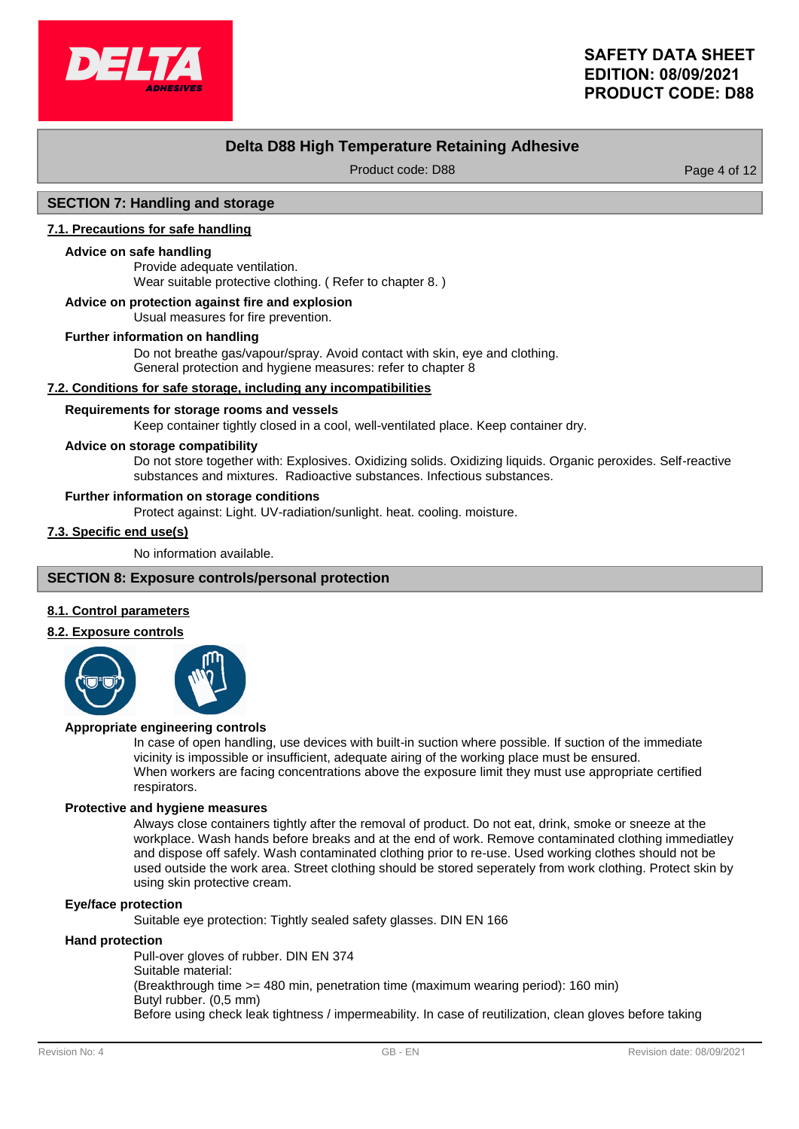

# **Delta D88 High Temperature Retaining Adhesive**

Product code: D88 Product code: D88 Page 4 of 12

### **SECTION 7: Handling and storage**

### **7.1. Precautions for safe handling**

#### **Advice on safe handling**

Provide adequate ventilation. Wear suitable protective clothing. ( Refer to chapter 8. )

#### **Advice on protection against fire and explosion**

Usual measures for fire prevention.

#### **Further information on handling**

Do not breathe gas/vapour/spray. Avoid contact with skin, eye and clothing. General protection and hygiene measures: refer to chapter 8

### **7.2. Conditions for safe storage, including any incompatibilities**

#### **Requirements for storage rooms and vessels**

Keep container tightly closed in a cool, well-ventilated place. Keep container dry.

#### **Advice on storage compatibility**

Do not store together with: Explosives. Oxidizing solids. Oxidizing liquids. Organic peroxides. Self-reactive substances and mixtures. Radioactive substances. Infectious substances.

#### **Further information on storage conditions**

Protect against: Light. UV-radiation/sunlight. heat. cooling. moisture.

# **7.3. Specific end use(s)**

No information available.

### **SECTION 8: Exposure controls/personal protection**

### **8.1. Control parameters**

#### **8.2. Exposure controls**



### **Appropriate engineering controls**

In case of open handling, use devices with built-in suction where possible. If suction of the immediate vicinity is impossible or insufficient, adequate airing of the working place must be ensured. When workers are facing concentrations above the exposure limit they must use appropriate certified respirators.

#### **Protective and hygiene measures**

Always close containers tightly after the removal of product. Do not eat, drink, smoke or sneeze at the workplace. Wash hands before breaks and at the end of work. Remove contaminated clothing immediatley and dispose off safely. Wash contaminated clothing prior to re-use. Used working clothes should not be used outside the work area. Street clothing should be stored seperately from work clothing. Protect skin by using skin protective cream.

### **Eye/face protection**

Suitable eye protection: Tightly sealed safety glasses. DIN EN 166

#### **Hand protection**

Pull-over gloves of rubber. DIN EN 374 Suitable material: (Breakthrough time >= 480 min, penetration time (maximum wearing period): 160 min) Butyl rubber. (0,5 mm) Before using check leak tightness / impermeability. In case of reutilization, clean gloves before taking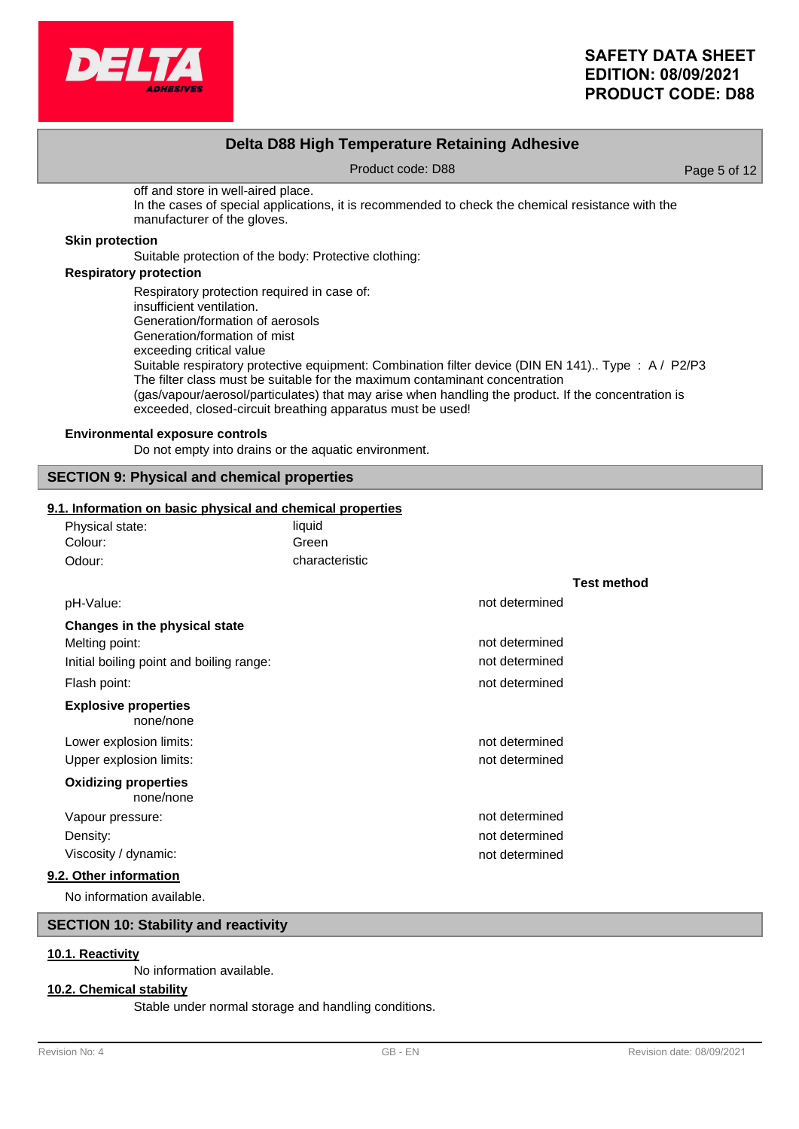

## **Delta D88 High Temperature Retaining Adhesive**

Product code: D88 Product code: D88 Page 5 of 12

off and store in well-aired place. In the cases of special applications, it is recommended to check the chemical resistance with the manufacturer of the gloves.

### **Skin protection**

Suitable protection of the body: Protective clothing:

## **Respiratory protection**

Respiratory protection required in case of: insufficient ventilation. Generation/formation of aerosols Generation/formation of mist exceeding critical value Suitable respiratory protective equipment: Combination filter device (DIN EN 141).. Type : A / P2/P3 The filter class must be suitable for the maximum contaminant concentration (gas/vapour/aerosol/particulates) that may arise when handling the product. If the concentration is exceeded, closed-circuit breathing apparatus must be used!

## **Environmental exposure controls**

Do not empty into drains or the aquatic environment.

## **SECTION 9: Physical and chemical properties**

### **9.1. Information on basic physical and chemical properties**

| Physical state:                          | liquid         |                |                    |
|------------------------------------------|----------------|----------------|--------------------|
| Colour:                                  | Green          |                |                    |
| Odour:                                   | characteristic |                |                    |
|                                          |                |                | <b>Test method</b> |
| pH-Value:                                |                | not determined |                    |
| Changes in the physical state            |                |                |                    |
| Melting point:                           |                | not determined |                    |
| Initial boiling point and boiling range: |                | not determined |                    |
| Flash point:                             |                | not determined |                    |
| <b>Explosive properties</b><br>none/none |                |                |                    |
| Lower explosion limits:                  |                | not determined |                    |
| Upper explosion limits:                  |                | not determined |                    |
| <b>Oxidizing properties</b><br>none/none |                |                |                    |
| Vapour pressure:                         |                | not determined |                    |
| Density:                                 |                | not determined |                    |
| Viscosity / dynamic:                     |                | not determined |                    |
| 9.2. Other information                   |                |                |                    |
|                                          |                |                |                    |

No information available.

## **SECTION 10: Stability and reactivity**

#### **10.1. Reactivity**

No information available.

### **10.2. Chemical stability**

Stable under normal storage and handling conditions.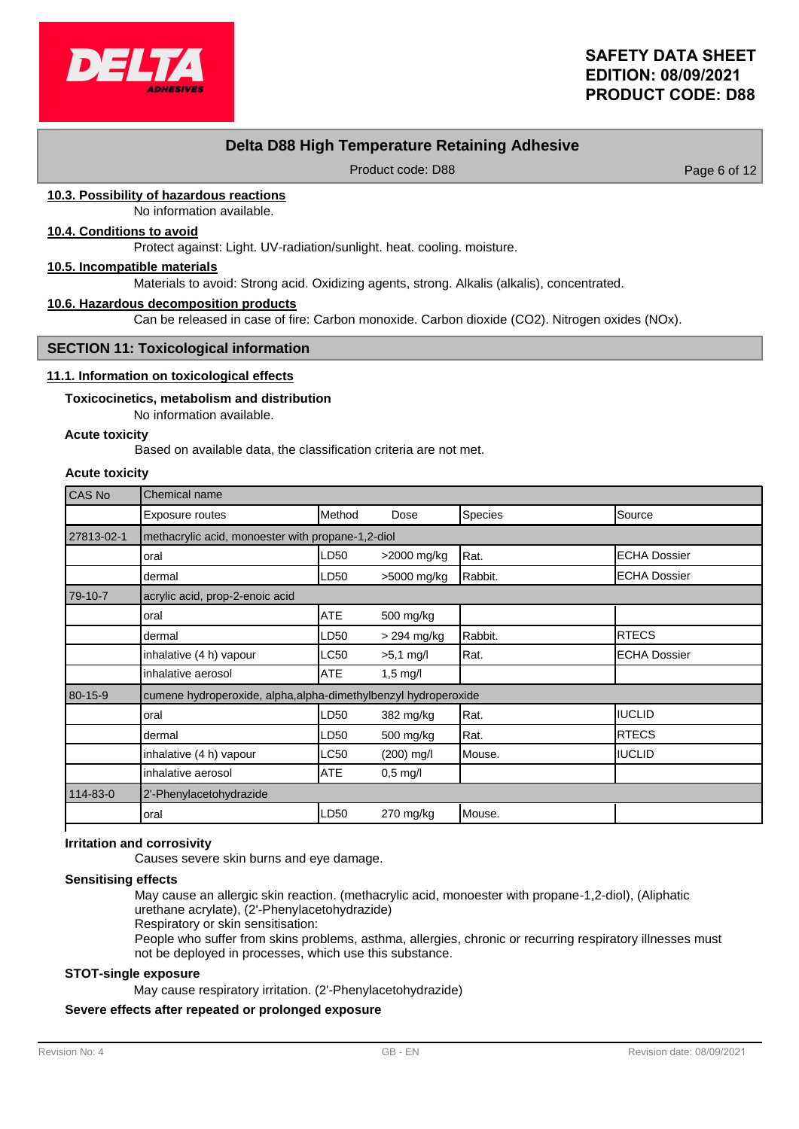

# **Delta D88 High Temperature Retaining Adhesive**

Product code: D88 Product code: D88 Page 6 of 12

## **10.3. Possibility of hazardous reactions**

No information available.

## **10.4. Conditions to avoid**

Protect against: Light. UV-radiation/sunlight. heat. cooling. moisture.

#### **10.5. Incompatible materials**

Materials to avoid: Strong acid. Oxidizing agents, strong. Alkalis (alkalis), concentrated.

#### **10.6. Hazardous decomposition products**

Can be released in case of fire: Carbon monoxide. Carbon dioxide (CO2). Nitrogen oxides (NOx).

#### **SECTION 11: Toxicological information**

#### **11.1. Information on toxicological effects**

#### **Toxicocinetics, metabolism and distribution**

No information available.

### **Acute toxicity**

Based on available data, the classification criteria are not met.

#### **Acute toxicity**

| CAS No     | Chemical name                                                   |            |                    |         |                     |
|------------|-----------------------------------------------------------------|------------|--------------------|---------|---------------------|
|            | Exposure routes                                                 | Method     | Dose               | Species | Source              |
| 27813-02-1 | methacrylic acid, monoester with propane-1,2-diol               |            |                    |         |                     |
|            | oral                                                            | LD50       | >2000 mg/kg        | Rat.    | <b>ECHA Dossier</b> |
|            | dermal                                                          | LD50       | >5000 mg/kg        | Rabbit. | <b>ECHA Dossier</b> |
| 79-10-7    | acrylic acid, prop-2-enoic acid                                 |            |                    |         |                     |
|            | oral                                                            | ATE        | 500 mg/kg          |         |                     |
|            | dermal                                                          | LD50       | > 294 mg/kg        | Rabbit. | <b>IRTECS</b>       |
|            | inhalative (4 h) vapour                                         | LC50       | $>5.1$ mg/l        | Rat.    | IECHA Dossier       |
|            | inhalative aerosol                                              | <b>ATE</b> | $1,5 \text{ mg/l}$ |         |                     |
| 80-15-9    | cumene hydroperoxide, alpha, alpha-dimethylbenzyl hydroperoxide |            |                    |         |                     |
|            | oral                                                            | LD50       | 382 mg/kg          | Rat.    | IUCLID              |
|            | dermal                                                          | LD50       | 500 mg/kg          | Rat.    | <b>RTECS</b>        |
|            | inhalative (4 h) vapour                                         | LC50       | $(200)$ mg/l       | Mouse.  | <b>IUCLID</b>       |
|            | inhalative aerosol                                              | <b>ATE</b> | $0,5 \text{ mg/l}$ |         |                     |
| 114-83-0   | 2'-Phenylacetohydrazide                                         |            |                    |         |                     |
|            | oral                                                            | LD50       | 270 mg/kg          | Mouse.  |                     |

### **Irritation and corrosivity**

Causes severe skin burns and eye damage.

#### **Sensitising effects**

May cause an allergic skin reaction. (methacrylic acid, monoester with propane-1,2-diol), (Aliphatic urethane acrylate), (2'-Phenylacetohydrazide)

Respiratory or skin sensitisation:

People who suffer from skins problems, asthma, allergies, chronic or recurring respiratory illnesses must not be deployed in processes, which use this substance.

### **STOT-single exposure**

May cause respiratory irritation. (2'-Phenylacetohydrazide)

## **Severe effects after repeated or prolonged exposure**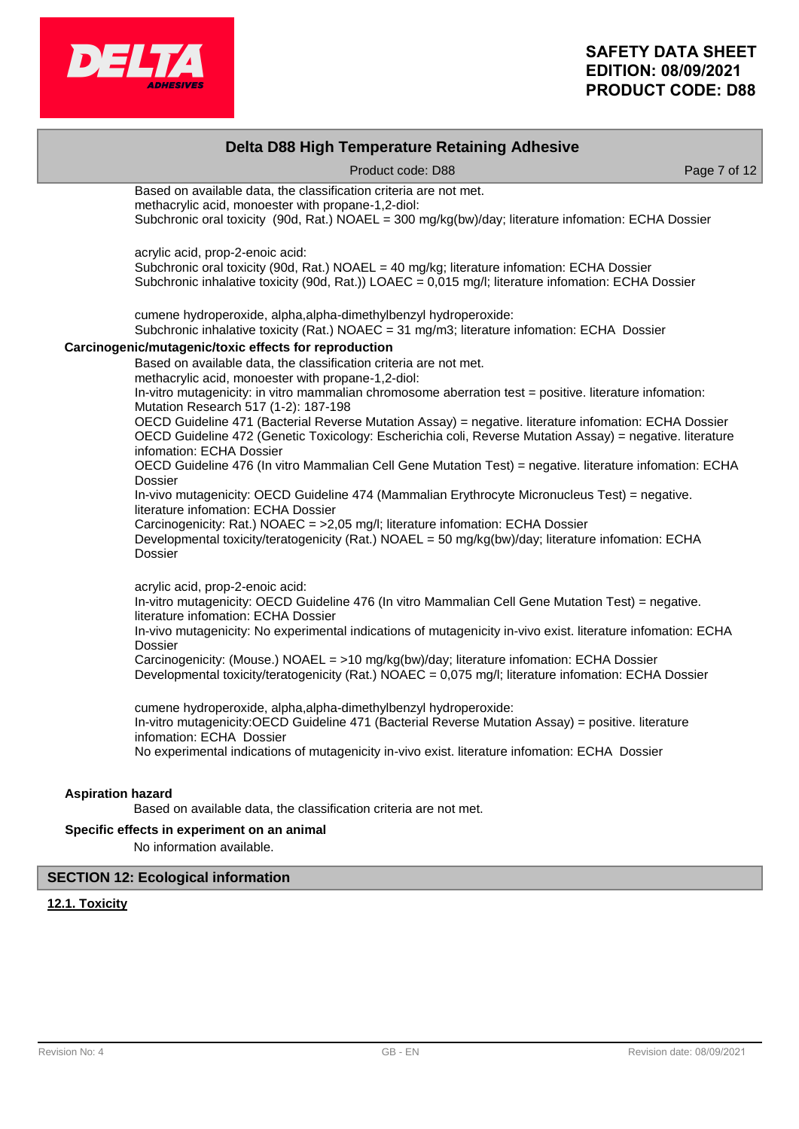

|                          | Delta D88 High Temperature Retaining Adhesive                                                                                                                                                                                                 |              |
|--------------------------|-----------------------------------------------------------------------------------------------------------------------------------------------------------------------------------------------------------------------------------------------|--------------|
|                          | Product code: D88                                                                                                                                                                                                                             | Page 7 of 12 |
|                          | Based on available data, the classification criteria are not met.                                                                                                                                                                             |              |
|                          | methacrylic acid, monoester with propane-1,2-diol:<br>Subchronic oral toxicity (90d, Rat.) NOAEL = 300 mg/kg(bw)/day; literature infomation: ECHA Dossier                                                                                     |              |
|                          | acrylic acid, prop-2-enoic acid:                                                                                                                                                                                                              |              |
|                          | Subchronic oral toxicity (90d, Rat.) NOAEL = 40 mg/kg; literature infomation: ECHA Dossier<br>Subchronic inhalative toxicity (90d, Rat.)) LOAEC = 0,015 mg/l; literature infomation: ECHA Dossier                                             |              |
|                          | cumene hydroperoxide, alpha, alpha-dimethylbenzyl hydroperoxide:<br>Subchronic inhalative toxicity (Rat.) NOAEC = 31 mg/m3; literature infomation: ECHA Dossier                                                                               |              |
|                          | Carcinogenic/mutagenic/toxic effects for reproduction                                                                                                                                                                                         |              |
|                          | Based on available data, the classification criteria are not met.<br>methacrylic acid, monoester with propane-1,2-diol:                                                                                                                       |              |
|                          | In-vitro mutagenicity: in vitro mammalian chromosome aberration test = positive. Iiterature infomation:<br>Mutation Research 517 (1-2): 187-198                                                                                               |              |
|                          | OECD Guideline 471 (Bacterial Reverse Mutation Assay) = negative. literature infomation: ECHA Dossier<br>OECD Guideline 472 (Genetic Toxicology: Escherichia coli, Reverse Mutation Assay) = negative. literature<br>infomation: ECHA Dossier |              |
|                          | OECD Guideline 476 (In vitro Mammalian Cell Gene Mutation Test) = negative. literature infomation: ECHA<br>Dossier                                                                                                                            |              |
|                          | In-vivo mutagenicity: OECD Guideline 474 (Mammalian Erythrocyte Micronucleus Test) = negative.<br>literature infomation: ECHA Dossier                                                                                                         |              |
|                          | Carcinogenicity: Rat.) NOAEC = >2,05 mg/l; literature infomation: ECHA Dossier<br>Developmental toxicity/teratogenicity (Rat.) NOAEL = 50 mg/kg(bw)/day; literature infomation: ECHA<br>Dossier                                               |              |
|                          | acrylic acid, prop-2-enoic acid:                                                                                                                                                                                                              |              |
|                          | In-vitro mutagenicity: OECD Guideline 476 (In vitro Mammalian Cell Gene Mutation Test) = negative.<br>literature infomation: ECHA Dossier                                                                                                     |              |
|                          | In-vivo mutagenicity: No experimental indications of mutagenicity in-vivo exist. literature infomation: ECHA<br>Dossier                                                                                                                       |              |
|                          | Carcinogenicity: (Mouse.) NOAEL = >10 mg/kg(bw)/day; literature infomation: ECHA Dossier<br>Developmental toxicity/teratogenicity (Rat.) NOAEC = 0,075 mg/l; literature infomation: ECHA Dossier                                              |              |
|                          | cumene hydroperoxide, alpha, alpha-dimethylbenzyl hydroperoxide:                                                                                                                                                                              |              |
|                          | In-vitro mutagenicity: OECD Guideline 471 (Bacterial Reverse Mutation Assay) = positive. literature<br>infomation: ECHA Dossier                                                                                                               |              |
|                          | No experimental indications of mutagenicity in-vivo exist. literature infomation: ECHA Dossier                                                                                                                                                |              |
| <b>Aspiration hazard</b> |                                                                                                                                                                                                                                               |              |
|                          | Based on available data, the classification criteria are not met.                                                                                                                                                                             |              |
|                          | Specific effects in experiment on an animal                                                                                                                                                                                                   |              |
|                          | No information available.                                                                                                                                                                                                                     |              |

## **12.1. Toxicity**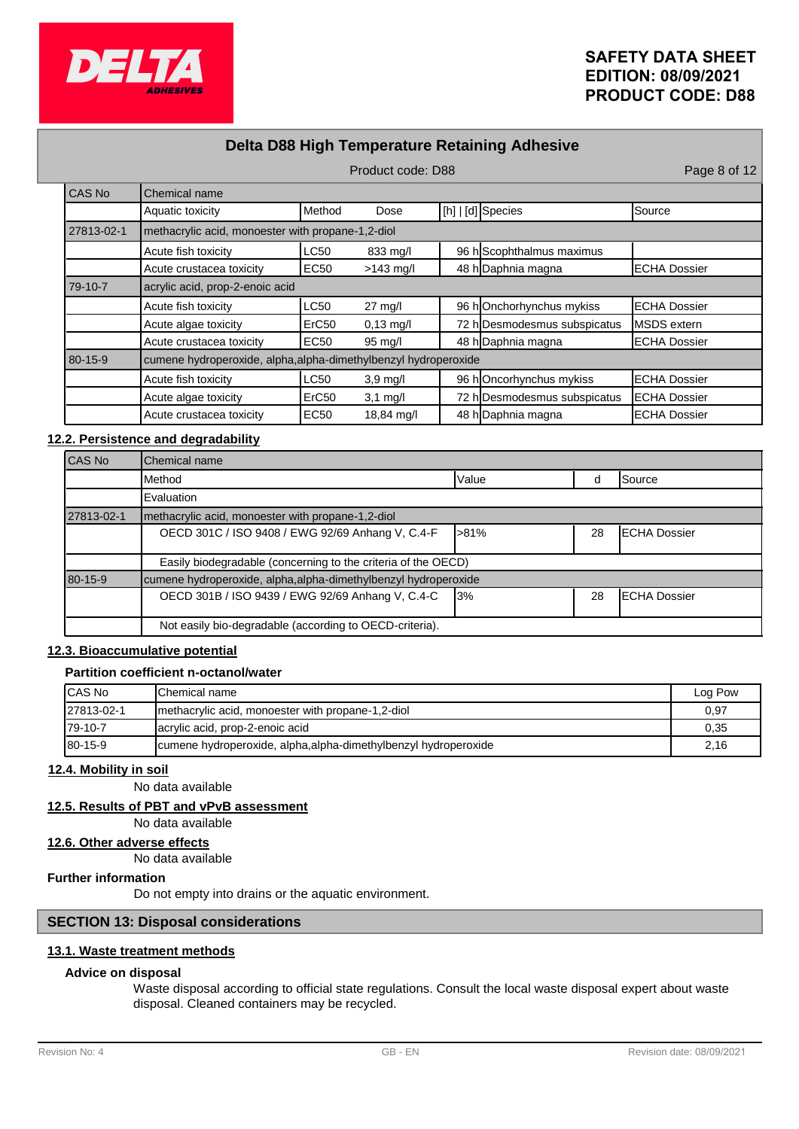

# **Delta D88 High Temperature Retaining Adhesive**

|            | Product code: D88                                               |                                                   |                   |  | Page 8 of 12                 |                      |  |
|------------|-----------------------------------------------------------------|---------------------------------------------------|-------------------|--|------------------------------|----------------------|--|
| CAS No     | Chemical name                                                   |                                                   |                   |  |                              |                      |  |
|            | Aquatic toxicity                                                | Method                                            | Dose              |  | [h]   [d] Species            | <b>Source</b>        |  |
| 27813-02-1 |                                                                 | methacrylic acid, monoester with propane-1,2-diol |                   |  |                              |                      |  |
|            | Acute fish toxicity                                             | <b>LC50</b>                                       | 833 mg/l          |  | 96 h Scophthalmus maximus    |                      |  |
|            | Acute crustacea toxicity                                        | <b>EC50</b>                                       | $>143$ mg/l       |  | 48 h Daphnia magna           | <b>IECHA Dossier</b> |  |
| 79-10-7    | acrylic acid, prop-2-enoic acid                                 |                                                   |                   |  |                              |                      |  |
|            | Acute fish toxicity                                             | <b>LC50</b>                                       | $27 \text{ mg/l}$ |  | 96 hOnchorhynchus mykiss     | <b>IECHA Dossier</b> |  |
|            | Acute algae toxicity                                            | ErC50                                             | $0,13$ mg/l       |  | 72 h Desmodesmus subspicatus | MSDS extern          |  |
|            | Acute crustacea toxicity                                        | <b>EC50</b>                                       | $95 \text{ mg/l}$ |  | 48 h Daphnia magna           | <b>ECHA Dossier</b>  |  |
| 80-15-9    | cumene hydroperoxide, alpha, alpha-dimethylbenzyl hydroperoxide |                                                   |                   |  |                              |                      |  |
|            | Acute fish toxicity                                             | <b>LC50</b>                                       | $3,9$ mg/l        |  | 96 hOncorhynchus mykiss      | <b>IECHA Dossier</b> |  |
|            | Acute algae toxicity                                            | ErC <sub>50</sub>                                 | $3,1$ mg/l        |  | 72 h Desmodesmus subspicatus | <b>ECHA Dossier</b>  |  |
|            | Acute crustacea toxicity                                        | <b>EC50</b>                                       | 18,84 mg/l        |  | 48 h Daphnia magna           | <b>IECHA Dossier</b> |  |

### **12.2. Persistence and degradability**

| <b>CAS No</b> | <b>I</b> Chemical name                                          |           |    |                      |  |
|---------------|-----------------------------------------------------------------|-----------|----|----------------------|--|
|               | IMethod                                                         | Value     | d  | Source               |  |
|               | <b>Evaluation</b>                                               |           |    |                      |  |
| 27813-02-1    | Imethacrylic acid, monoester with propane-1,2-diol              |           |    |                      |  |
|               | OECD 301C / ISO 9408 / EWG 92/69 Anhang V, C.4-F                | -81%      | 28 | <b>IECHA Dossier</b> |  |
|               | Easily biodegradable (concerning to the criteria of the OECD)   |           |    |                      |  |
| 80-15-9       | cumene hydroperoxide, alpha, alpha-dimethylbenzyl hydroperoxide |           |    |                      |  |
|               | OECD 301B / ISO 9439 / EWG 92/69 Anhang V, C.4-C                | <b>3%</b> | 28 | <b>IECHA Dossier</b> |  |
|               | Not easily bio-degradable (according to OECD-criteria).         |           |    |                      |  |

## **12.3. Bioaccumulative potential**

## **Partition coefficient n-octanol/water**

| <b>ICAS No</b> | <b>IChemical name</b>                                           | Log Pow |
|----------------|-----------------------------------------------------------------|---------|
| 27813-02-1     | Imethacrylic acid, monoester with propane-1,2-diol              | 0.97    |
| 179-10-7       | acrylic acid, prop-2-enoic acid                                 | 0.35    |
| $180 - 15 - 9$ | cumene hydroperoxide, alpha, alpha-dimethylbenzyl hydroperoxide | 2,16    |

## **12.4. Mobility in soil**

No data available

## **12.5. Results of PBT and vPvB assessment**

No data available

## **12.6. Other adverse effects**

No data available

# **Further information**

Do not empty into drains or the aquatic environment.

## **SECTION 13: Disposal considerations**

# **13.1. Waste treatment methods**

## **Advice on disposal**

Waste disposal according to official state regulations. Consult the local waste disposal expert about waste disposal. Cleaned containers may be recycled.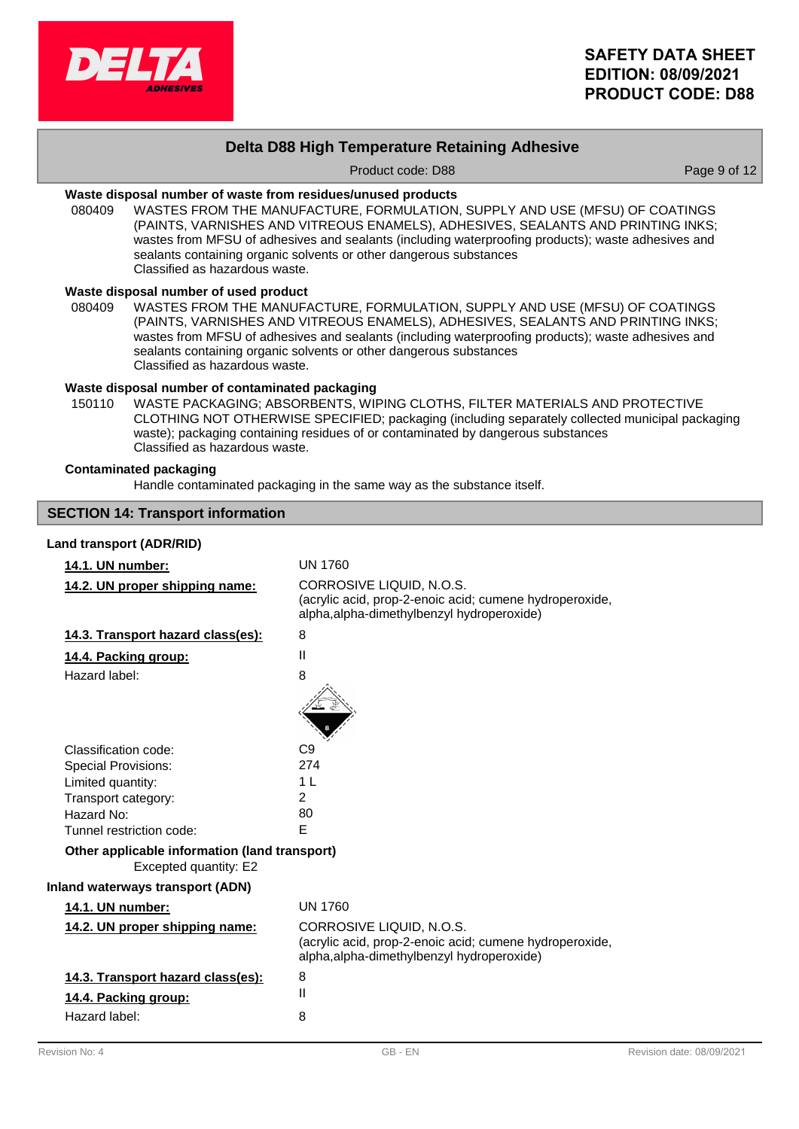

# **Delta D88 High Temperature Retaining Adhesive**

Product code: D88 Product code: D88 Page 9 of 12

### **Waste disposal number of waste from residues/unused products**

080409 WASTES FROM THE MANUFACTURE, FORMULATION, SUPPLY AND USE (MFSU) OF COATINGS (PAINTS, VARNISHES AND VITREOUS ENAMELS), ADHESIVES, SEALANTS AND PRINTING INKS; wastes from MFSU of adhesives and sealants (including waterproofing products); waste adhesives and sealants containing organic solvents or other dangerous substances Classified as hazardous waste.

### **Waste disposal number of used product**

WASTES FROM THE MANUFACTURE, FORMULATION, SUPPLY AND USE (MFSU) OF COATINGS (PAINTS, VARNISHES AND VITREOUS ENAMELS), ADHESIVES, SEALANTS AND PRINTING INKS; wastes from MFSU of adhesives and sealants (including waterproofing products); waste adhesives and sealants containing organic solvents or other dangerous substances Classified as hazardous waste. 080409

### **Waste disposal number of contaminated packaging**

WASTE PACKAGING; ABSORBENTS, WIPING CLOTHS, FILTER MATERIALS AND PROTECTIVE CLOTHING NOT OTHERWISE SPECIFIED; packaging (including separately collected municipal packaging waste); packaging containing residues of or contaminated by dangerous substances Classified as hazardous waste. 150110

#### **Contaminated packaging**

Handle contaminated packaging in the same way as the substance itself.

# **SECTION 14: Transport information Land transport (ADR/RID) 14.1. UN number:** UN 1760 CORROSIVE LIQUID, N.O.S. (acrylic acid, prop-2-enoic acid; cumene hydroperoxide, alpha,alpha-dimethylbenzyl hydroperoxide) **14.2. UN proper shipping name: 14.3. Transport hazard class(es):** 8 **14.4. Packing group:** II Hazard label: 8 Classification code: C9 Special Provisions: 274 Limited quantity: 1 L Transport category: 2 Hazard No: 80 Tunnel restriction code: E Excepted quantity: E2 **Other applicable information (land transport) Inland waterways transport (ADN) 14.1. UN number:** UN 1760 CORROSIVE LIQUID, N.O.S. (acrylic acid, prop-2-enoic acid; cumene hydroperoxide, alpha,alpha-dimethylbenzyl hydroperoxide) **14.2. UN proper shipping name: 14.3. Transport hazard class(es):** 8 **14.4. Packing group:** II Hazard label: 8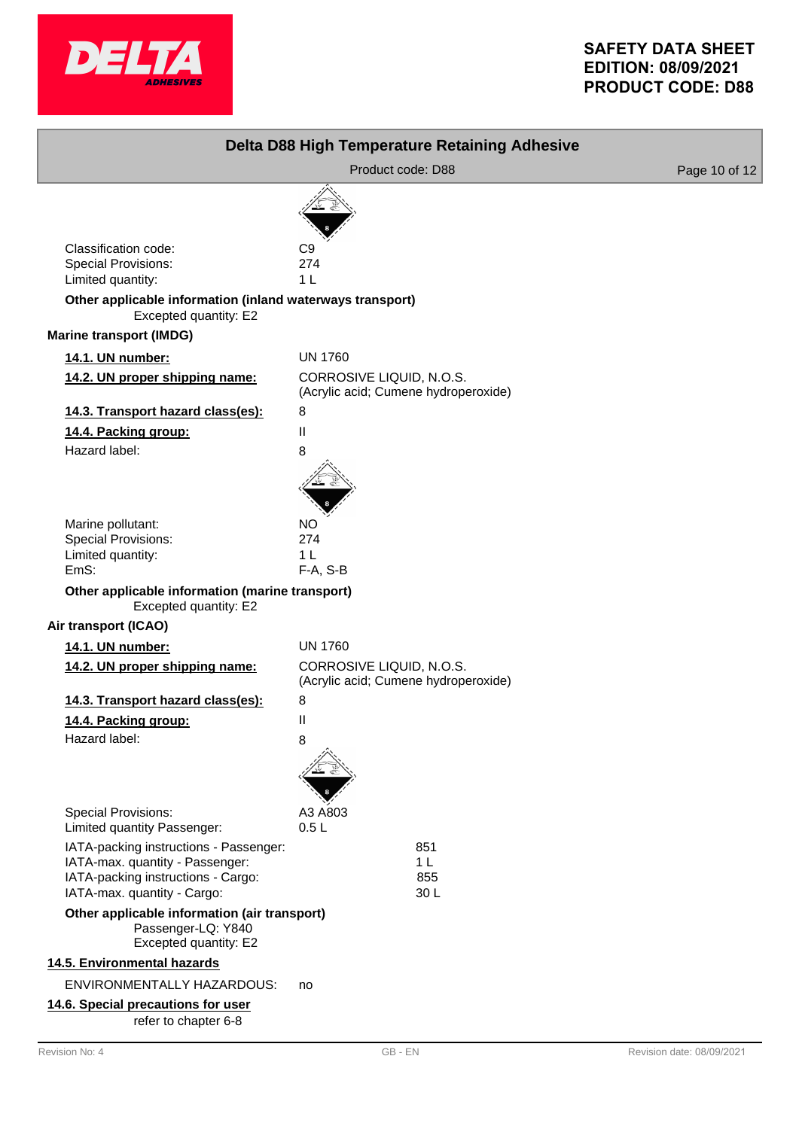

| Delta D88 High Temperature Retaining Adhesive                                                                                                  |                                                                  |                           |  |
|------------------------------------------------------------------------------------------------------------------------------------------------|------------------------------------------------------------------|---------------------------|--|
|                                                                                                                                                | Product code: D88                                                | Page 10 of 12             |  |
| Classification code:<br><b>Special Provisions:</b><br>Limited quantity:                                                                        | C9<br>274<br>1 <sub>L</sub>                                      |                           |  |
| Other applicable information (inland waterways transport)<br>Excepted quantity: E2                                                             |                                                                  |                           |  |
| <b>Marine transport (IMDG)</b>                                                                                                                 |                                                                  |                           |  |
| 14.1. UN number:                                                                                                                               | <b>UN 1760</b>                                                   |                           |  |
| 14.2. UN proper shipping name:                                                                                                                 | CORROSIVE LIQUID, N.O.S.<br>(Acrylic acid; Cumene hydroperoxide) |                           |  |
| 14.3. Transport hazard class(es):                                                                                                              | 8                                                                |                           |  |
| 14.4. Packing group:                                                                                                                           | Ш                                                                |                           |  |
| Hazard label:                                                                                                                                  | 8                                                                |                           |  |
| Marine pollutant:<br><b>Special Provisions:</b><br>Limited quantity:<br>EmS:                                                                   | <b>NO</b><br>274<br>1 <sub>L</sub><br>F-A, S-B                   |                           |  |
| Other applicable information (marine transport)<br>Excepted quantity: E2<br>Air transport (ICAO)                                               |                                                                  |                           |  |
| 14.1. UN number:                                                                                                                               | <b>UN 1760</b>                                                   |                           |  |
| 14.2. UN proper shipping name:                                                                                                                 | CORROSIVE LIQUID, N.O.S.                                         |                           |  |
|                                                                                                                                                | (Acrylic acid; Cumene hydroperoxide)                             |                           |  |
| 14.3. Transport hazard class(es):                                                                                                              | 8                                                                |                           |  |
| 14.4. Packing group:                                                                                                                           | Ш                                                                |                           |  |
| Hazard label:                                                                                                                                  | 8                                                                |                           |  |
| <b>Special Provisions:</b>                                                                                                                     | A3 A803                                                          |                           |  |
| Limited quantity Passenger:                                                                                                                    | 0.5L                                                             |                           |  |
| IATA-packing instructions - Passenger:<br>IATA-max. quantity - Passenger:<br>IATA-packing instructions - Cargo:<br>IATA-max. quantity - Cargo: | 851<br>1 <sub>L</sub><br>855<br>30L                              |                           |  |
| Other applicable information (air transport)<br>Passenger-LQ: Y840<br>Excepted quantity: E2                                                    |                                                                  |                           |  |
| 14.5. Environmental hazards                                                                                                                    |                                                                  |                           |  |
| ENVIRONMENTALLY HAZARDOUS:                                                                                                                     | no                                                               |                           |  |
| 14.6. Special precautions for user<br>refer to chapter 6-8                                                                                     |                                                                  |                           |  |
| Revision No: 4                                                                                                                                 | GB-EN                                                            | Revision date: 08/09/2021 |  |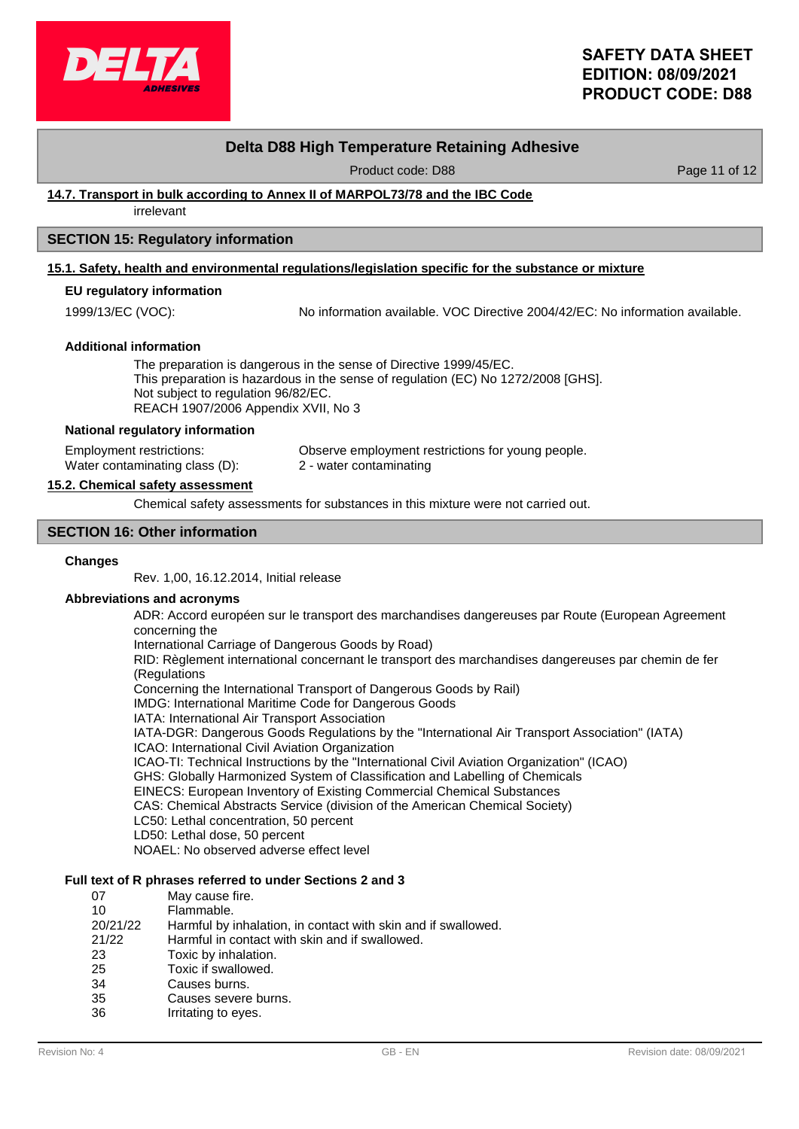

## **Delta D88 High Temperature Retaining Adhesive**

Product code: D88 Product code: 088

### **14.7. Transport in bulk according to Annex II of MARPOL73/78 and the IBC Code**

irrelevant

### **SECTION 15: Regulatory information**

### **15.1. Safety, health and environmental regulations/legislation specific for the substance or mixture**

## **EU regulatory information**

1999/13/EC (VOC): No information available. VOC Directive 2004/42/EC: No information available.

#### **Additional information**

The preparation is dangerous in the sense of Directive 1999/45/EC. This preparation is hazardous in the sense of regulation (EC) No 1272/2008 [GHS]. Not subject to regulation 96/82/EC. REACH 1907/2006 Appendix XVII, No 3

#### **National regulatory information**

Employment restrictions: Observe employment restrictions for young people. Water contaminating class (D): 2 - water contaminating

#### **15.2. Chemical safety assessment**

Chemical safety assessments for substances in this mixture were not carried out.

### **SECTION 16: Other information**

#### **Changes**

Rev. 1,00, 16.12.2014, Initial release

### **Abbreviations and acronyms**

ADR: Accord européen sur le transport des marchandises dangereuses par Route (European Agreement concerning the

International Carriage of Dangerous Goods by Road)

RID: Règlement international concernant le transport des marchandises dangereuses par chemin de fer (Regulations

Concerning the International Transport of Dangerous Goods by Rail)

IMDG: International Maritime Code for Dangerous Goods

IATA: International Air Transport Association

IATA-DGR: Dangerous Goods Regulations by the "International Air Transport Association" (IATA)

ICAO: International Civil Aviation Organization

ICAO-TI: Technical Instructions by the "International Civil Aviation Organization" (ICAO)

GHS: Globally Harmonized System of Classification and Labelling of Chemicals

EINECS: European Inventory of Existing Commercial Chemical Substances

CAS: Chemical Abstracts Service (division of the American Chemical Society)

- LC50: Lethal concentration, 50 percent
- LD50: Lethal dose, 50 percent

NOAEL: No observed adverse effect level

## **Full text of R phrases referred to under Sections 2 and 3**

| 07       | May cause fire.                                               |
|----------|---------------------------------------------------------------|
| 10       | Flammable.                                                    |
| 20/21/22 | Harmful by inhalation, in contact with skin and if swallowed. |
| 21/22    | Harmful in contact with skin and if swallowed.                |
| 23       | Toxic by inhalation.                                          |
| 25       | Toxic if swallowed.                                           |
| 34       | Causes burns.                                                 |
| 35       | Causes severe burns.                                          |
| 36       | Irritating to eyes.                                           |